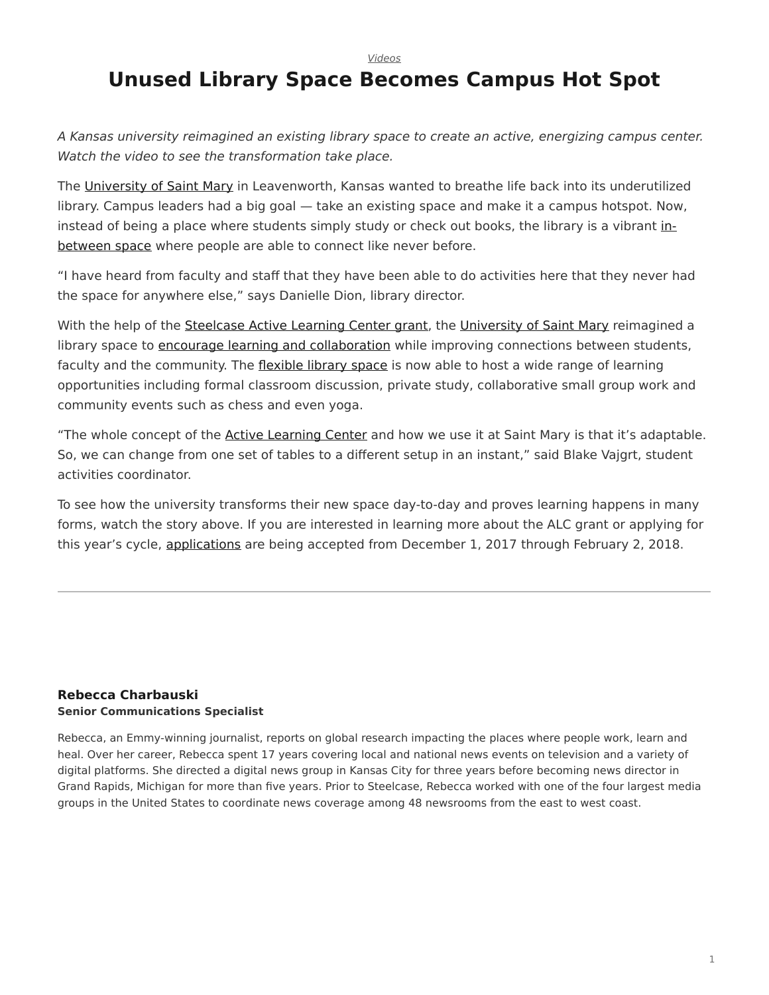*[Videos](https://www.steelcase.com/research/topics/video/)*

## <span id="page-0-0"></span>**Unused Library Space Becomes Campus Hot Spot**

*A Kansas university reimagined an existing library space to create an active, energizing campus center. Watch the video to see the transformation take place.*

The [University of Saint Mary](http://www.stmary.edu/) in Leavenworth, Kansas wanted to breathe life back into its underutilized library. Campus leaders had a big goal — take an existing space and make it a campus hotspot. Now, instead of being a place where students simply study or check out books, the library is a vibrant [in](https://www.steelcase.com/spaces-inspiration/active-learning-spaces-in-between-spaces/)[between](https://www.steelcase.com/spaces-inspiration/active-learning-spaces-in-between-spaces/) space where people are able to connect like never before.

"I have heard from faculty and staff that they have been able to do activities here that they never had the space for anywhere else," says Danielle Dion, library director.

With the help of the [Steelcase Active Learning Center grant,](https://www.steelcase.com/discover/information/education/active-learning-center-grant/?utm_source=360research&utm_medium=blog&utm_campaign=alcgrant&utm_content=saintmaryvideo) the [University of Saint Mary](https://youtu.be/ehtjYjRd2As) reimagined a library space to [encourage learning and collaboration](https://www.steelcase.com/insights/articles/class-can-i-have-your-attention/) while improving connections between students, faculty and the community. The [flexible library space](https://www.steelcase.com/spaces-inspiration/active-learning-spaces-libraries/) is now able to host a wide range of learning opportunities including formal classroom discussion, private study, collaborative small group work and community events such as chess and even yoga.

"The whole concept of the [Active Learning Center](https://www.steelcase.com/discover/information/education/active-learning-center-grant/?utm_source=360research&utm_medium=blog&utm_campaign=alcgrant&utm_content=saintmaryvideo) and how we use it at Saint Mary is that it's adaptable. So, we can change from one set of tables to a different setup in an instant," said Blake Vajgrt, student activities coordinator.

To see how the university transforms their new space day-to-day and proves learning happens in many forms, watch the story above. If you are interested in learning more about the ALC grant or applying for this year's cycle, [applications](https://info.steelcase.com/active-learning-center-grant/?utm_source=360research&utm_medium=blog&utm_campaign=alcgrantcycle4&utm_content=saintmaryvideo) are being accepted from December 1, 2017 through February 2, 2018.

## **[Rebecca Charbauski](https://www.steelcase.com/research/articles/author/rcharbausteelcase-com/) Senior Communications Specialist**

Rebecca, an Emmy-winning journalist, reports on global research impacting the places where people work, learn and heal. Over her career, Rebecca spent 17 years covering local and national news events on television and a variety of digital platforms. She directed a digital news group in Kansas City for three years before becoming news director in Grand Rapids, Michigan for more than five years. Prior to Steelcase, Rebecca worked with one of the four largest media groups in the United States to coordinate news coverage among 48 newsrooms from the east to west coast.